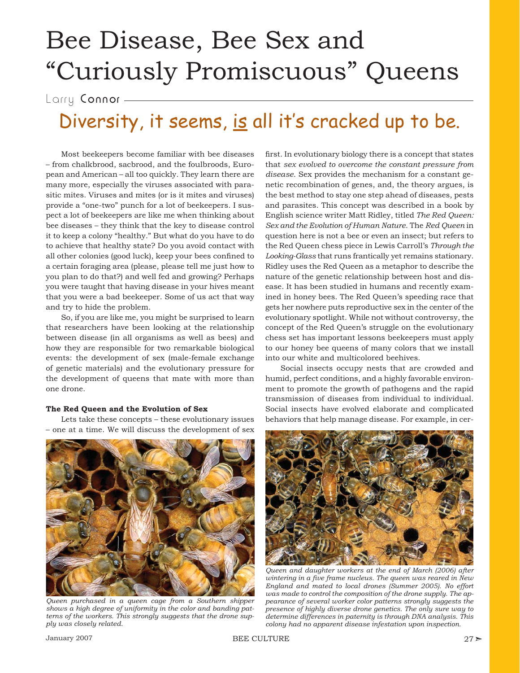# Bee Disease, Bee Sex and "Curiously Promiscuous" Queens

Larry Connor -

## Diversity, it seems, is all it's cracked up to be.

Most beekeepers become familiar with bee diseases – from chalkbrood, sacbrood, and the foulbroods, European and American – all too quickly. They learn there are many more, especially the viruses associated with parasitic mites. Viruses and mites (or is it mites and viruses) provide a "one-two" punch for a lot of beekeepers. I suspect a lot of beekeepers are like me when thinking about bee diseases – they think that the key to disease control it to keep a colony "healthy." But what do you have to do to achieve that healthy state? Do you avoid contact with all other colonies (good luck), keep your bees confined to a certain foraging area (please, please tell me just how to you plan to do that?) and well fed and growing? Perhaps you were taught that having disease in your hives meant that you were a bad beekeeper. Some of us act that way and try to hide the problem.

So, if you are like me, you might be surprised to learn that researchers have been looking at the relationship between disease (in all organisms as well as bees) and how they are responsible for two remarkable biological events: the development of sex (male-female exchange of genetic materials) and the evolutionary pressure for the development of queens that mate with more than one drone.

#### **The Red Queen and the Evolution of Sex**

Lets take these concepts – these evolutionary issues – one at a time. We will discuss the development of sex



*Queen purchased in a queen cage from a Southern shipper shows a high degree of uniformity in the color and banding patterns of the workers. This strongly suggests that the drone supply was closely related.* 

first. In evolutionary biology there is a concept that states that *sex evolved to overcome the constant pressure from disease*. Sex provides the mechanism for a constant genetic recombination of genes, and, the theory argues, is the best method to stay one step ahead of diseases, pests and parasites. This concept was described in a book by English science writer Matt Ridley, titled *The Red Queen: Sex and the Evolution of Human Nature*. The *Red Queen* in question here is not a bee or even an insect; but refers to the Red Queen chess piece in Lewis Carroll's *Through the Looking-Glass* that runs frantically yet remains stationary. Ridley uses the Red Queen as a metaphor to describe the nature of the genetic relationship between host and disease. It has been studied in humans and recently examined in honey bees. The Red Queen's speeding race that gets her nowhere puts reproductive sex in the center of the evolutionary spotlight. While not without controversy, the concept of the Red Queen's struggle on the evolutionary chess set has important lessons beekeepers must apply to our honey bee queens of many colors that we install into our white and multicolored beehives.

Social insects occupy nests that are crowded and humid, perfect conditions, and a highly favorable environment to promote the growth of pathogens and the rapid transmission of diseases from individual to individual. Social insects have evolved elaborate and complicated behaviors that help manage disease. For example, in cer-



*Queen and daughter workers at the end of March (2006) after*  wintering in a five frame nucleus. The queen was reared in New *England and mated to local drones (Summer 2005). No effort was made to control the composition of the drone supply. The appearance of several worker color patterns strongly suggests the presence of highly diverse drone genetics. The only sure way to determine differences in paternity is through DNA analysis. This colony had no apparent disease infestation upon inspection.*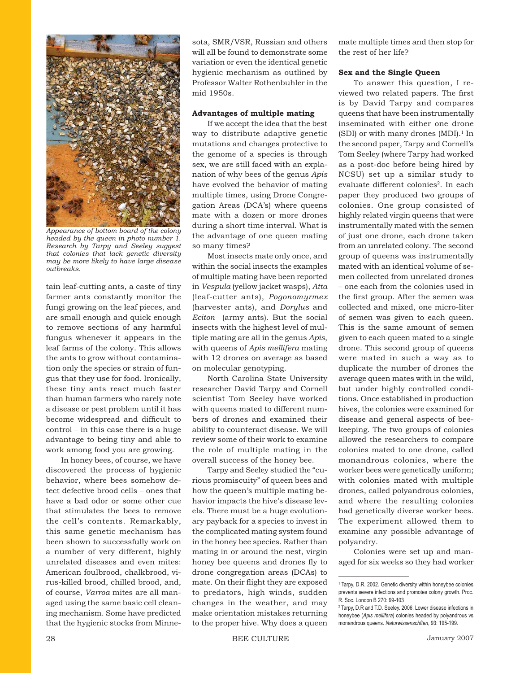

*Appearance of bottom board of the colony headed by the queen in photo number 1. Research by Tarpy and Seeley suggest that colonies that lack genetic diversity may be more likely to have large disease outbreaks.* 

tain leaf-cutting ants, a caste of tiny farmer ants constantly monitor the fungi growing on the leaf pieces, and are small enough and quick enough to remove sections of any harmful fungus whenever it appears in the leaf farms of the colony. This allows the ants to grow without contamination only the species or strain of fungus that they use for food. Ironically, these tiny ants react much faster than human farmers who rarely note a disease or pest problem until it has become widespread and difficult to control – in this case there is a huge advantage to being tiny and able to work among food you are growing.

In honey bees, of course, we have discovered the process of hygienic behavior, where bees somehow detect defective brood cells – ones that have a bad odor or some other cue that stimulates the bees to remove the cell's contents. Remarkably, this same genetic mechanism has been shown to successfully work on a number of very different, highly unrelated diseases and even mites: American foulbrood, chalkbrood, virus-killed brood, chilled brood, and, of course, *Varroa* mites are all managed using the same basic cell cleaning mechanism. Some have predicted that the hygienic stocks from Minnesota, SMR/VSR, Russian and others will all be found to demonstrate some variation or even the identical genetic hygienic mechanism as outlined by Professor Walter Rothenbuhler in the mid 1950s.

#### **Advantages of multiple mating**

If we accept the idea that the best way to distribute adaptive genetic mutations and changes protective to the genome of a species is through sex, we are still faced with an explanation of why bees of the genus *Apis* have evolved the behavior of mating multiple times, using Drone Congregation Areas (DCA's) where queens mate with a dozen or more drones during a short time interval. What is the advantage of one queen mating so many times?

Most insects mate only once, and within the social insects the examples of multiple mating have been reported in *Vespula* (yellow jacket wasps), *Atta* (leaf-cutter ants), *Pogonomyrmex* (harvester ants), and *Dorylus* and *Eciton* (army ants). But the social insects with the highest level of multiple mating are all in the genus *Apis*, with queens of *Apis mellifera* mating with 12 drones on average as based on molecular genotyping.

North Carolina State University researcher David Tarpy and Cornell scientist Tom Seeley have worked with queens mated to different numbers of drones and examined their ability to counteract disease. We will review some of their work to examine the role of multiple mating in the overall success of the honey bee.

Tarpy and Seeley studied the "curious promiscuity" of queen bees and how the queen's multiple mating behavior impacts the hive's disease levels. There must be a huge evolutionary payback for a species to invest in the complicated mating system found in the honey bee species. Rather than mating in or around the nest, virgin honey bee queens and drones fly to drone congregation areas (DCAs) to mate. On their flight they are exposed to predators, high winds, sudden changes in the weather, and may make orientation mistakes returning to the proper hive. Why does a queen

mate multiple times and then stop for the rest of her life?

#### **Sex and the Single Queen**

To answer this question, I reviewed two related papers. The first is by David Tarpy and compares queens that have been instrumentally inseminated with either one drone (SDI) or with many drones  $(MDI)^{1}$  In the second paper, Tarpy and Cornell's Tom Seeley (where Tarpy had worked as a post-doc before being hired by NCSU) set up a similar study to evaluate different colonies<sup>2</sup>. In each paper they produced two groups of colonies. One group consisted of highly related virgin queens that were instrumentally mated with the semen of just one drone, each drone taken from an unrelated colony. The second group of queens was instrumentally mated with an identical volume of semen collected from unrelated drones – one each from the colonies used in the first group. After the semen was collected and mixed, one micro-liter of semen was given to each queen. This is the same amount of semen given to each queen mated to a single drone. This second group of queens were mated in such a way as to duplicate the number of drones the average queen mates with in the wild, but under highly controlled conditions. Once established in production hives, the colonies were examined for disease and general aspects of beekeeping. The two groups of colonies allowed the researchers to compare colonies mated to one drone, called monandrous colonies, where the worker bees were genetically uniform; with colonies mated with multiple drones, called polyandrous colonies, and where the resulting colonies had genetically diverse worker bees. The experiment allowed them to examine any possible advantage of polyandry.

Colonies were set up and managed for six weeks so they had worker

<sup>1</sup> Tarpy, D.R. 2002. Genetic diversity within honeybee colonies prevents severe infections and promotes colony growth. Proc. R. Soc. London B 270: 99-103

<sup>&</sup>lt;sup>2</sup> Tarpy, D.R and T.D. Seeley. 2006. Lower disease infections in honeybee (*Apis mellifera*) colonies headed by polyandrous vs monandrous queens. *Naturwissenschften*, 93: 195-199.